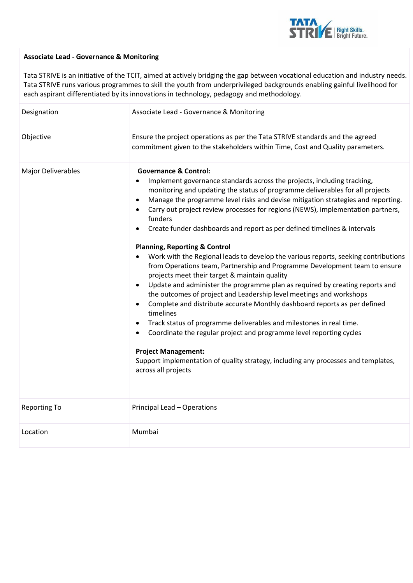

## **Associate Lead - Governance & Monitoring**

Tata STRIVE is an initiative of the TCIT, aimed at actively bridging the gap between vocational education and industry needs. Tata STRIVE runs various programmes to skill the youth from underprivileged backgrounds enabling gainful livelihood for each aspirant differentiated by its innovations in technology, pedagogy and methodology.

| Designation               | Associate Lead - Governance & Monitoring                                                                                                                                                                                                                                                                                                                                                                                                                                                                                                                                                                                                                                                                                                                                                                                                                                                                                                                                                                                                                                                                                                                                                                                                                                                                     |
|---------------------------|--------------------------------------------------------------------------------------------------------------------------------------------------------------------------------------------------------------------------------------------------------------------------------------------------------------------------------------------------------------------------------------------------------------------------------------------------------------------------------------------------------------------------------------------------------------------------------------------------------------------------------------------------------------------------------------------------------------------------------------------------------------------------------------------------------------------------------------------------------------------------------------------------------------------------------------------------------------------------------------------------------------------------------------------------------------------------------------------------------------------------------------------------------------------------------------------------------------------------------------------------------------------------------------------------------------|
| Objective                 | Ensure the project operations as per the Tata STRIVE standards and the agreed<br>commitment given to the stakeholders within Time, Cost and Quality parameters.                                                                                                                                                                                                                                                                                                                                                                                                                                                                                                                                                                                                                                                                                                                                                                                                                                                                                                                                                                                                                                                                                                                                              |
| <b>Major Deliverables</b> | <b>Governance &amp; Control:</b><br>Implement governance standards across the projects, including tracking,<br>monitoring and updating the status of programme deliverables for all projects<br>Manage the programme level risks and devise mitigation strategies and reporting.<br>$\bullet$<br>Carry out project review processes for regions (NEWS), implementation partners,<br>funders<br>Create funder dashboards and report as per defined timelines & intervals<br>$\bullet$<br><b>Planning, Reporting &amp; Control</b><br>Work with the Regional leads to develop the various reports, seeking contributions<br>from Operations team, Partnership and Programme Development team to ensure<br>projects meet their target & maintain quality<br>Update and administer the programme plan as required by creating reports and<br>the outcomes of project and Leadership level meetings and workshops<br>Complete and distribute accurate Monthly dashboard reports as per defined<br>timelines<br>Track status of programme deliverables and milestones in real time.<br>$\bullet$<br>Coordinate the regular project and programme level reporting cycles<br><b>Project Management:</b><br>Support implementation of quality strategy, including any processes and templates,<br>across all projects |
| <b>Reporting To</b>       | Principal Lead - Operations                                                                                                                                                                                                                                                                                                                                                                                                                                                                                                                                                                                                                                                                                                                                                                                                                                                                                                                                                                                                                                                                                                                                                                                                                                                                                  |
| Location                  | Mumbai                                                                                                                                                                                                                                                                                                                                                                                                                                                                                                                                                                                                                                                                                                                                                                                                                                                                                                                                                                                                                                                                                                                                                                                                                                                                                                       |